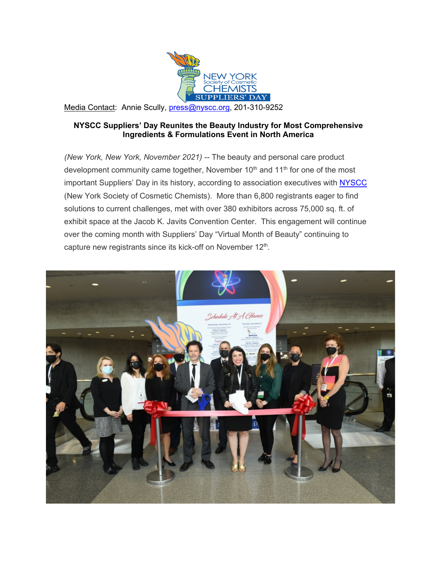

Media Contact: Annie Scully, [press@nyscc.org,](mailto:press@nyscc.org) 201-310-9252

## **NYSCC Suppliers' Day Reunites the Beauty Industry for Most Comprehensive Ingredients & Formulations Event in North America**

*(New York, New York, November 2021) --* The beauty and personal care product development community came together, November  $10<sup>th</sup>$  and  $11<sup>th</sup>$  for one of the most important Suppliers' Day in its history, according to association executives with **NYSCC** (New York Society of Cosmetic Chemists). More than 6,800 registrants eager to find solutions to current challenges, met with over 380 exhibitors across 75,000 sq. ft. of exhibit space at the Jacob K. Javits Convention Center. This engagement will continue over the coming month with Suppliers' Day "Virtual Month of Beauty" continuing to capture new registrants since its kick-off on November 12<sup>th</sup>.

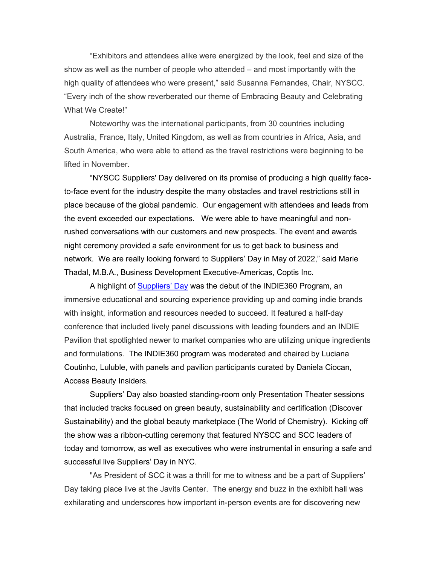"Exhibitors and attendees alike were energized by the look, feel and size of the show as well as the number of people who attended – and most importantly with the high quality of attendees who were present," said Susanna Fernandes, Chair, NYSCC. "Every inch of the show reverberated our theme of Embracing Beauty and Celebrating What We Create!"

Noteworthy was the international participants, from 30 countries including Australia, France, Italy, United Kingdom, as well as from countries in Africa, Asia, and South America, who were able to attend as the travel restrictions were beginning to be lifted in November.

"NYSCC Suppliers' Day delivered on its promise of producing a high quality faceto-face event for the industry despite the many obstacles and travel restrictions still in place because of the global pandemic. Our engagement with attendees and leads from the event exceeded our expectations. We were able to have meaningful and nonrushed conversations with our customers and new prospects. The event and awards night ceremony provided a safe environment for us to get back to business and network. We are really looking forward to Suppliers' Day in May of 2022," said Marie Thadal, M.B.A., Business Development Executive-Americas, Coptis Inc.

A highlight of **Suppliers' Day** was the debut of the INDIE360 Program, an immersive educational and sourcing experience providing up and coming indie brands with insight, information and resources needed to succeed. It featured a half-day conference that included lively panel discussions with leading founders and an INDIE Pavilion that spotlighted newer to market companies who are utilizing unique ingredients and formulations. The INDIE360 program was moderated and chaired by Luciana Coutinho, Luluble, with panels and pavilion participants curated by Daniela Ciocan, Access Beauty Insiders.

Suppliers' Day also boasted standing-room only Presentation Theater sessions that included tracks focused on green beauty, sustainability and certification (Discover Sustainability) and the global beauty marketplace (The World of Chemistry). Kicking off the show was a ribbon-cutting ceremony that featured NYSCC and SCC leaders of today and tomorrow, as well as executives who were instrumental in ensuring a safe and successful live Suppliers' Day in NYC.

"As President of SCC it was a thrill for me to witness and be a part of Suppliers' Day taking place live at the Javits Center. The energy and buzz in the exhibit hall was exhilarating and underscores how important in-person events are for discovering new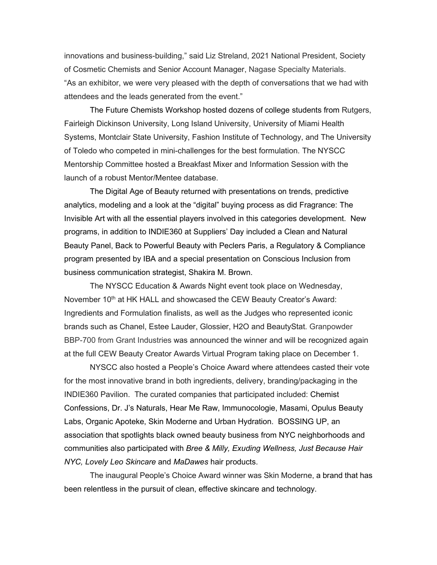innovations and business-building," said Liz Streland, 2021 National President, Society of Cosmetic Chemists and Senior Account Manager, Nagase Specialty Materials. "As an exhibitor, we were very pleased with the depth of conversations that we had with attendees and the leads generated from the event."

The Future Chemists Workshop hosted dozens of college students from Rutgers, Fairleigh Dickinson University, Long Island University, University of Miami Health Systems, Montclair State University, Fashion Institute of Technology, and The University of Toledo who competed in mini-challenges for the best formulation. The NYSCC Mentorship Committee hosted a Breakfast Mixer and Information Session with the launch of a robust Mentor/Mentee database.

The Digital Age of Beauty returned with presentations on trends, predictive analytics, modeling and a look at the "digital" buying process as did Fragrance: The Invisible Art with all the essential players involved in this categories development. New programs, in addition to INDIE360 at Suppliers' Day included a Clean and Natural Beauty Panel, Back to Powerful Beauty with Peclers Paris, a Regulatory & Compliance program presented by IBA and a special presentation on Conscious Inclusion from business communication strategist, Shakira M. Brown.

The NYSCC Education & Awards Night event took place on Wednesday, November 10<sup>th</sup> at HK HALL and showcased the CEW Beauty Creator's Award: Ingredients and Formulation finalists, as well as the Judges who represented iconic brands such as Chanel, Estee Lauder, Glossier, H2O and BeautyStat. Granpowder BBP-700 from Grant Industries was announced the winner and will be recognized again at the full CEW Beauty Creator Awards Virtual Program taking place on December 1.

NYSCC also hosted a People's Choice Award where attendees casted their vote for the most innovative brand in both ingredients, delivery, branding/packaging in the INDIE360 Pavilion. The curated companies that participated included: Chemist Confessions, Dr. J's Naturals, Hear Me Raw, Immunocologie, Masami, Opulus Beauty Labs, Organic Apoteke, Skin Moderne and Urban Hydration. BOSSING UP, an association that spotlights black owned beauty business from NYC neighborhoods and communities also participated with *Bree & Milly, Exuding Wellness, Just Because Hair NYC, Lovely Leo Skincare* and *MaDawes* hair products.

The inaugural People's Choice Award winner was Skin Moderne, a brand that has been relentless in the pursuit of clean, effective skincare and technology.